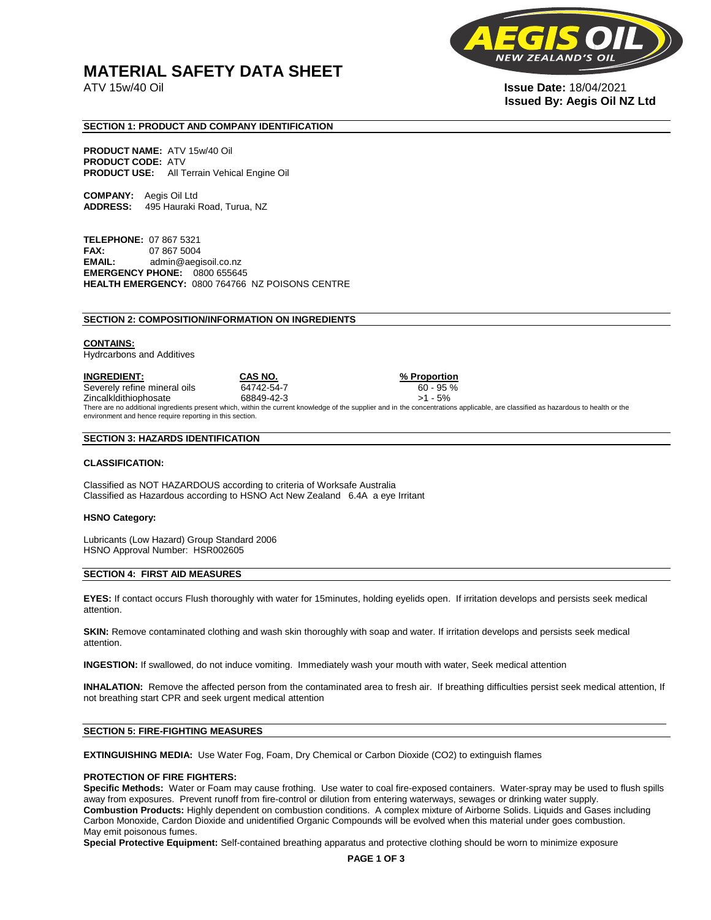# **MATERIAL SAFETY DATA SHEET**

**NEW** 

ATV 15w/40 Oil **Issue Date:** 18/04/2021 **Issued By: Aegis Oil NZ Ltd** 

# **SECTION 1: PRODUCT AND COMPANY IDENTIFICATION**

**PRODUCT NAME:** ATV 15w/40 Oil **PRODUCT CODE: ATV PRODUCT USE:** All Terrain Vehical Engine Oil

**COMPANY:** Aegis Oil Ltd **ADDRESS:** 495 Hauraki Road, Turua, NZ

**TELEPHONE:** 07 867 5321 **FAX:** 07 867 5004 **EMAIL:** admin@aegisoil.co.nz **EMERGENCY PHONE:** 0800 655645 **HEALTH EMERGENCY:** 0800 764766 NZ POISONS CENTRE

#### **SECTION 2: COMPOSITION/INFORMATION ON INGREDIENTS**

#### **CONTAINS:**

Hydrcarbons and Additives

**INGREDIENT: CAS NO. % Proportion**  Severely refine mineral oils 64742-54-7 60 - 95 % Zincalkldithiophosate 68849-42-3 >1 - 5% There are no additional ingredients present which, within the current knowledge of the supplier and in the concentrations applicable, are classified as hazardous to health or the environment and hence require reporting in this section.

#### **SECTION 3: HAZARDS IDENTIFICATION**

#### **CLASSIFICATION:**

Classified as NOT HAZARDOUS according to criteria of Worksafe Australia Classified as Hazardous according to HSNO Act New Zealand 6.4A a eye Irritant

#### **HSNO Category:**

Lubricants (Low Hazard) Group Standard 2006 HSNO Approval Number: HSR002605

### **SECTION 4: FIRST AID MEASURES**

**EYES:** If contact occurs Flush thoroughly with water for 15minutes, holding eyelids open. If irritation develops and persists seek medical attention.

**SKIN:** Remove contaminated clothing and wash skin thoroughly with soap and water. If irritation develops and persists seek medical attention.

**INGESTION:** If swallowed, do not induce vomiting. Immediately wash your mouth with water, Seek medical attention

**INHALATION:** Remove the affected person from the contaminated area to fresh air. If breathing difficulties persist seek medical attention, If not breathing start CPR and seek urgent medical attention

# **SECTION 5: FIRE-FIGHTING MEASURES**

**EXTINGUISHING MEDIA:** Use Water Fog, Foam, Dry Chemical or Carbon Dioxide (CO2) to extinguish flames

#### **PROTECTION OF FIRE FIGHTERS:**

**Specific Methods:** Water or Foam may cause frothing. Use water to coal fire-exposed containers. Water-spray may be used to flush spills away from exposures. Prevent runoff from fire-control or dilution from entering waterways, sewages or drinking water supply. **Combustion Products:** Highly dependent on combustion conditions. A complex mixture of Airborne Solids. Liquids and Gases including Carbon Monoxide, Cardon Dioxide and unidentified Organic Compounds will be evolved when this material under goes combustion. May emit poisonous fumes.

**Special Protective Equipment:** Self-contained breathing apparatus and protective clothing should be worn to minimize exposure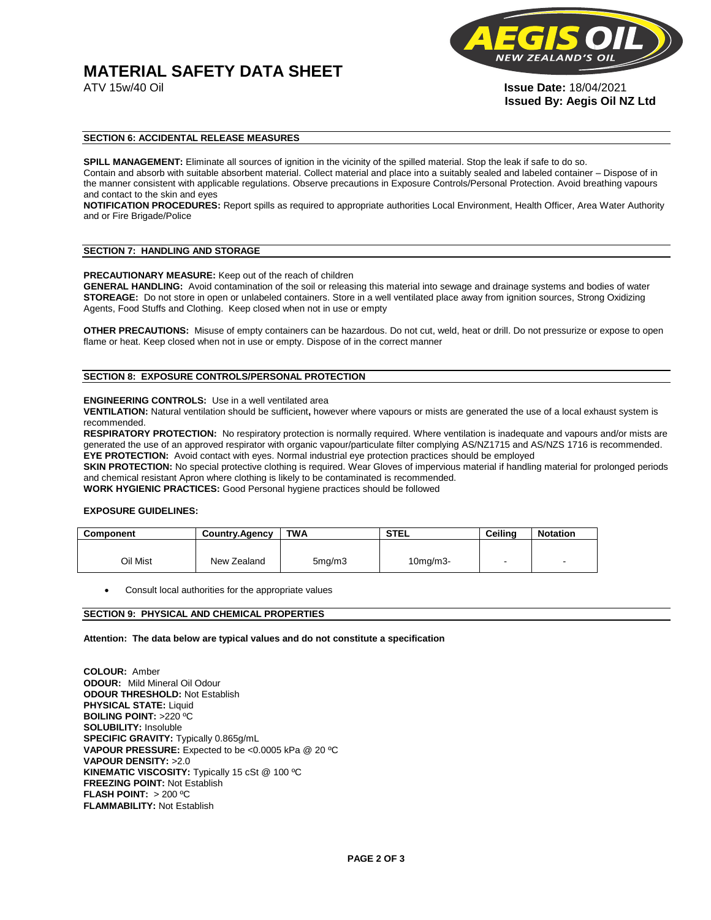# **MATERIAL SAFETY DATA SHEET**



ATV 15w/40 Oil **Issue Date:** 18/04/2021 **Issued By: Aegis Oil NZ Ltd** 

# **SECTION 6: ACCIDENTAL RELEASE MEASURES**

**SPILL MANAGEMENT:** Eliminate all sources of ignition in the vicinity of the spilled material. Stop the leak if safe to do so. Contain and absorb with suitable absorbent material. Collect material and place into a suitably sealed and labeled container – Dispose of in the manner consistent with applicable regulations. Observe precautions in Exposure Controls/Personal Protection. Avoid breathing vapours and contact to the skin and eyes

**NOTIFICATION PROCEDURES:** Report spills as required to appropriate authorities Local Environment, Health Officer, Area Water Authority and or Fire Brigade/Police

#### **SECTION 7: HANDLING AND STORAGE**

**PRECAUTIONARY MEASURE:** Keep out of the reach of children

**GENERAL HANDLING:** Avoid contamination of the soil or releasing this material into sewage and drainage systems and bodies of water **STOREAGE:** Do not store in open or unlabeled containers. Store in a well ventilated place away from ignition sources, Strong Oxidizing Agents, Food Stuffs and Clothing. Keep closed when not in use or empty

**OTHER PRECAUTIONS:** Misuse of empty containers can be hazardous. Do not cut, weld, heat or drill. Do not pressurize or expose to open flame or heat. Keep closed when not in use or empty. Dispose of in the correct manner

# **SECTION 8: EXPOSURE CONTROLS/PERSONAL PROTECTION**

#### **ENGINEERING CONTROLS:** Use in a well ventilated area

**VENTILATION:** Natural ventilation should be sufficient**,** however where vapours or mists are generated the use of a local exhaust system is recommended.

**RESPIRATORY PROTECTION:** No respiratory protection is normally required. Where ventilation is inadequate and vapours and/or mists are generated the use of an approved respirator with organic vapour/particulate filter complying AS/NZ1715 and AS/NZS 1716 is recommended. **EYE PROTECTION:** Avoid contact with eyes. Normal industrial eye protection practices should be employed

**SKIN PROTECTION:** No special protective clothing is required. Wear Gloves of impervious material if handling material for prolonged periods and chemical resistant Apron where clothing is likely to be contaminated is recommended.

**WORK HYGIENIC PRACTICES:** Good Personal hygiene practices should be followed

# **EXPOSURE GUIDELINES:**

| <b>Component</b> | <b>Country.Agency</b> | <b>TWA</b>          | <b>STEL</b>    | Ceilina | <b>Notation</b>          |
|------------------|-----------------------|---------------------|----------------|---------|--------------------------|
|                  |                       |                     |                |         |                          |
| Oil Mist         | New Zealand           | 5 <sub>mq</sub> /m3 | $10$ mg/m $3-$ |         | $\overline{\phantom{a}}$ |

Consult local authorities for the appropriate values

# **SECTION 9: PHYSICAL AND CHEMICAL PROPERTIES**

**Attention: The data below are typical values and do not constitute a specification** 

**COLOUR:** Amber **ODOUR:** Mild Mineral Oil Odour **ODOUR THRESHOLD:** Not Establish **PHYSICAL STATE:** Liquid **BOILING POINT:** >220 ºC **SOLUBILITY:** Insoluble **SPECIFIC GRAVITY:** Typically 0.865g/mL **VAPOUR PRESSURE:** Expected to be <0.0005 kPa @ 20 ºC **VAPOUR DENSITY:** >2.0 **KINEMATIC VISCOSITY:** Typically 15 cSt @ 100 ºC **FREEZING POINT: Not Establish FLASH POINT:** > 200 ºC **FLAMMABILITY:** Not Establish